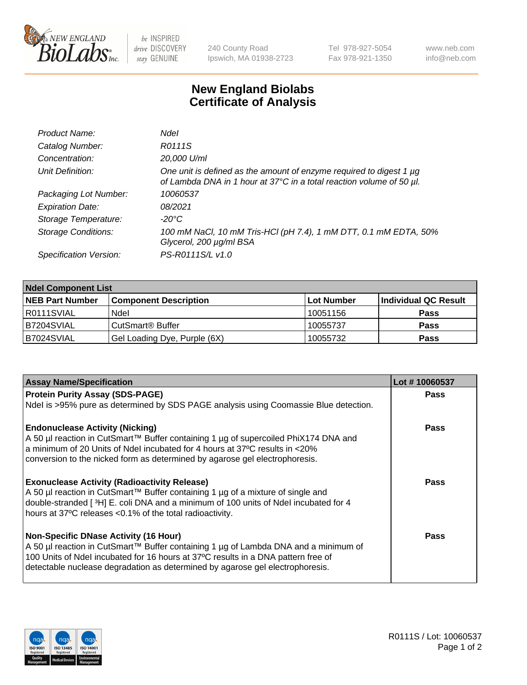

be INSPIRED drive DISCOVERY stay GENUINE

240 County Road Ipswich, MA 01938-2723 Tel 978-927-5054 Fax 978-921-1350 www.neb.com info@neb.com

## **New England Biolabs Certificate of Analysis**

| Product Name:              | Ndel                                                                                                                                        |
|----------------------------|---------------------------------------------------------------------------------------------------------------------------------------------|
| Catalog Number:            | R0111S                                                                                                                                      |
| Concentration:             | 20,000 U/ml                                                                                                                                 |
| Unit Definition:           | One unit is defined as the amount of enzyme required to digest 1 µg<br>of Lambda DNA in 1 hour at 37°C in a total reaction volume of 50 µl. |
| Packaging Lot Number:      | 10060537                                                                                                                                    |
| <b>Expiration Date:</b>    | 08/2021                                                                                                                                     |
| Storage Temperature:       | -20°C                                                                                                                                       |
| <b>Storage Conditions:</b> | 100 mM NaCl, 10 mM Tris-HCl (pH 7.4), 1 mM DTT, 0.1 mM EDTA, 50%<br>Glycerol, 200 µg/ml BSA                                                 |
| Specification Version:     | PS-R0111S/L v1.0                                                                                                                            |

| <b>Ndel Component List</b> |                              |            |                      |  |  |
|----------------------------|------------------------------|------------|----------------------|--|--|
| <b>NEB Part Number</b>     | <b>Component Description</b> | Lot Number | Individual QC Result |  |  |
| R0111SVIAL                 | Ndel                         | 10051156   | <b>Pass</b>          |  |  |
| IB7204SVIAL                | CutSmart <sup>®</sup> Buffer | 10055737   | <b>Pass</b>          |  |  |
| B7024SVIAL                 | Gel Loading Dye, Purple (6X) | 10055732   | <b>Pass</b>          |  |  |

| <b>Assay Name/Specification</b>                                                      | Lot #10060537 |
|--------------------------------------------------------------------------------------|---------------|
| <b>Protein Purity Assay (SDS-PAGE)</b>                                               | <b>Pass</b>   |
| Ndel is >95% pure as determined by SDS PAGE analysis using Coomassie Blue detection. |               |
| <b>Endonuclease Activity (Nicking)</b>                                               | <b>Pass</b>   |
| A 50 µl reaction in CutSmart™ Buffer containing 1 µg of supercoiled PhiX174 DNA and  |               |
| a minimum of 20 Units of Ndel incubated for 4 hours at 37°C results in <20%          |               |
| conversion to the nicked form as determined by agarose gel electrophoresis.          |               |
| <b>Exonuclease Activity (Radioactivity Release)</b>                                  | Pass          |
| A 50 µl reaction in CutSmart™ Buffer containing 1 µg of a mixture of single and      |               |
| double-stranded [3H] E. coli DNA and a minimum of 100 units of Ndel incubated for 4  |               |
| hours at 37°C releases <0.1% of the total radioactivity.                             |               |
| <b>Non-Specific DNase Activity (16 Hour)</b>                                         | <b>Pass</b>   |
| A 50 µl reaction in CutSmart™ Buffer containing 1 µg of Lambda DNA and a minimum of  |               |
| 100 Units of Ndel incubated for 16 hours at 37°C results in a DNA pattern free of    |               |
| detectable nuclease degradation as determined by agarose gel electrophoresis.        |               |